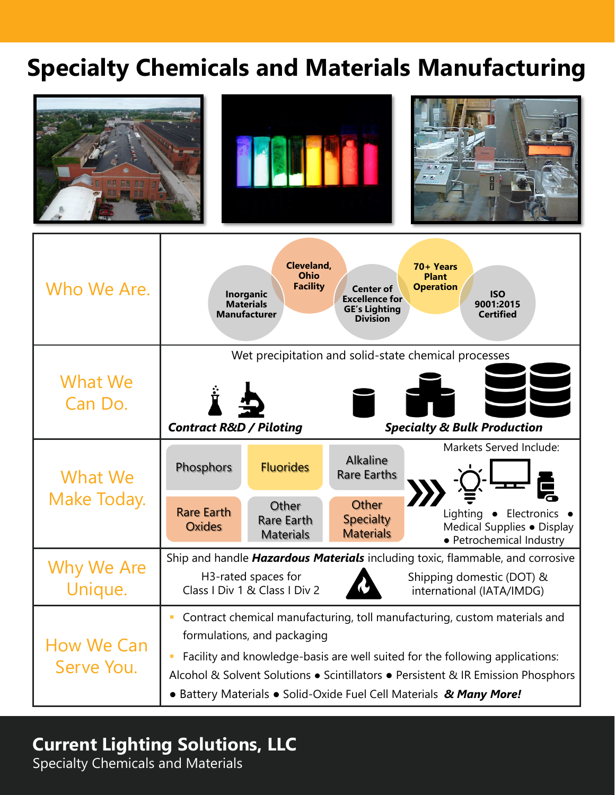# **Specialty Chemicals and Materials Manufacturing**



## **Current Lighting Solutions, LLC**

Specialty Chemicals and Materials